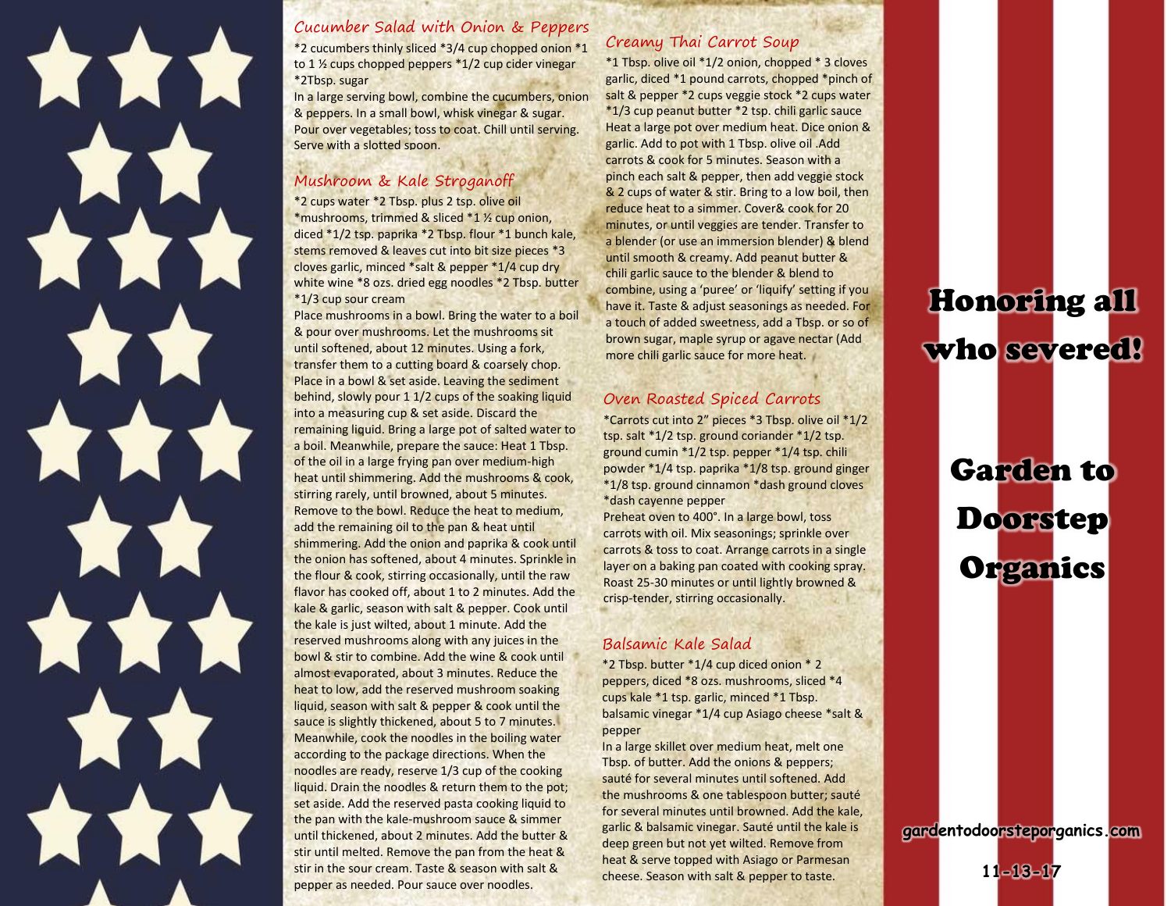

#### Cucumber Salad with Onion & Peppers

\*2 cucumbers thinly sliced \*3/4 cup chopped onion \*1 to 1  $\frac{1}{2}$  cups chopped peppers  $*1/2$  cup cider vinegar \*2Tbsp. sugar

In a large serving bowl, combine the cucumbers, onion & peppers. In a small bowl, whisk vinegar & sugar. Pour over vegetables; toss to coat. Chill until serving. Serve with a slotted spoon.

#### Mushroom & Kale Stroganoff

\*2 cups water \*2 Tbsp. plus 2 tsp. olive oil \*mushrooms, trimmed & sliced \*1 ½ cup onion, diced \*1/2 tsp. paprika \*2 Tbsp. flour \*1 bunch kale, stems removed & leaves cut into bit size pieces \*3 cloves garlic, minced \*salt & pepper \*1/4 cup dry white wine \*8 ozs. dried egg noodles \*2 Tbsp. butter \*1/3 cup sour cream

Place mushrooms in a bowl. Bring the water to a boil & pour over mushrooms. Let the mushrooms sit until softened, about 12 minutes. Using a fork, transfer them to a cutting board & coarsely chop. Place in a bowl & set aside. Leaving the sediment behind, slowly pour 1 1/2 cups of the soaking liquid into a measuring cup & set aside. Discard the remaining liquid. Bring a large pot of salted water to a boil. Meanwhile, prepare the sauce: Heat 1 Tbsp. of the oil in a large frying pan over medium-high heat until shimmering. Add the mushrooms & cook, stirring rarely, until browned, about 5 minutes. Remove to the bowl. Reduce the heat to medium, add the remaining oil to the pan & heat until shimmering. Add the onion and paprika & cook until the onion has softened, about 4 minutes. Sprinkle in the flour & cook, stirring occasionally, until the raw flavor has cooked off, about 1 to 2 minutes. Add the kale & garlic, season with salt & pepper. Cook until the kale is just wilted, about 1 minute. Add the reserved mushrooms along with any juices in the bowl & stir to combine. Add the wine & cook until almost evaporated, about 3 minutes. Reduce the heat to low, add the reserved mushroom soaking liquid, season with salt & pepper & cook until the sauce is slightly thickened, about 5 to 7 minutes. Meanwhile, cook the noodles in the boiling water according to the package directions. When the noodles are ready, reserve 1/3 cup of the cooking liquid. Drain the noodles & return them to the pot; set aside. Add the reserved pasta cooking liquid to the pan with the kale-mushroom sauce & simmer until thickened, about 2 minutes. Add the butter & stir until melted. Remove the pan from the heat & stir in the sour cream. Taste & season with salt & pepper as needed. Pour sauce over noodles.

#### Creamy Thai Carrot Soup

\*1 Tbsp. olive oil \*1/2 onion, chopped \* 3 cloves garlic, diced \*1 pound carrots, chopped \*pinch of salt & pepper \*2 cups veggie stock \*2 cups water \*1/3 cup peanut butter \*2 tsp. chili garlic sauce Heat a large pot over medium heat. Dice onion & garlic. Add to pot with 1 Tbsp. olive oil .Add carrots & cook for 5 minutes. Season with a pinch each salt & pepper, then add veggie stock & 2 cups of water & stir. Bring to a low boil, then reduce heat to a simmer. Cover& cook for 20 minutes, or until veggies are tender. Transfer to a blender (or use an immersion blender) & blend until smooth & creamy. Add peanut butter & chili garlic sauce to the blender & blend to combine, using a 'puree' or 'liquify' setting if you have it. Taste & adjust seasonings as needed. For a touch of added sweetness, add a Tbsp. or so of brown sugar, maple syrup or agave nectar (Add more chili garlic sauce for more heat.

#### Oven Roasted Spiced Carrots

\*Carrots cut into 2" pieces \*3 Tbsp. olive oil \*1/2 tsp. salt \*1/2 tsp. ground coriander \*1/2 tsp. ground cumin \*1/2 tsp. pepper \*1/4 tsp. chili powder \*1/4 tsp. paprika \*1/8 tsp. ground ginger \*1/8 tsp. ground cinnamon \*dash ground cloves \*dash cayenne pepper

Preheat oven to 400°. In a large bowl, toss carrots with oil. Mix seasonings; sprinkle over carrots & toss to coat. Arrange carrots in a single layer on a baking pan coated with cooking spray. Roast 25-30 minutes or until lightly browned & crisp-tender, stirring occasionally.

#### Balsamic Kale Salad

\*2 Tbsp. butter \*1/4 cup diced onion \* 2 peppers, diced \*8 ozs. mushrooms, sliced \*4 cups kale \*1 tsp. garlic, minced \*1 Tbsp. balsamic vinegar \*1/4 cup Asiago cheese \*salt & pepper

In a large skillet over medium heat, melt one Tbsp. of butter. Add the onions & peppers; sauté for several minutes until softened. Add the mushrooms & one tablespoon butter; sauté for several minutes until browned. Add the kale, garlic & balsamic vinegar. Sauté until the kale is deep green but not yet wilted. Remove from heat & serve topped with Asiago or Parmesan cheese. Season with salt & pepper to taste.

## Honoring all who severed!

# Garden to Doorstep **Organics**

**gardentodoorsteporganics.com**